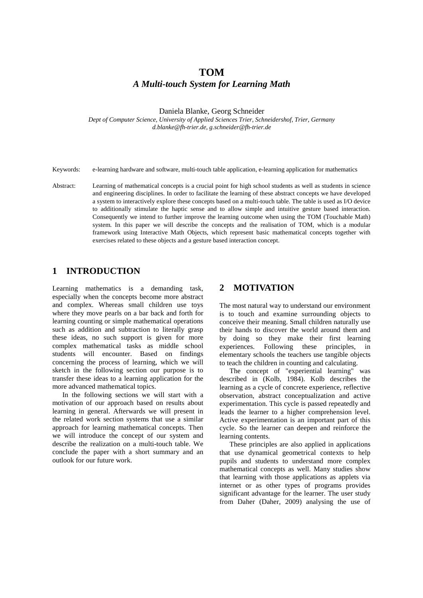# **TOM** *A Multi-touch System for Learning Math*

Daniela Blanke, Georg Schneider

*Dept of Computer Science, University of Applied Sciences Trier, Schneidershof, Trier, Germany d.blanke@fh-trier.de, g.schneider@fh-trier.de*

Keywords: e-learning hardware and software, multi-touch table application, e-learning application for mathematics

Abstract: Learning of mathematical concepts is a crucial point for high school students as well as students in science and engineering disciplines. In order to facilitate the learning of these abstract concepts we have developed a system to interactively explore these concepts based on a multi-touch table. The table is used as I/O device to additionally stimulate the haptic sense and to allow simple and intuitive gesture based interaction. Consequently we intend to further improve the learning outcome when using the TOM (Touchable Math) system. In this paper we will describe the concepts and the realisation of TOM, which is a modular framework using Interactive Math Objects, which represent basic mathematical concepts together with exercises related to these objects and a gesture based interaction concept.

# **1 INTRODUCTION**

Learning mathematics is a demanding task, especially when the concepts become more abstract and complex. Whereas small children use toys where they move pearls on a bar back and forth for learning counting or simple mathematical operations such as addition and subtraction to literally grasp these ideas, no such support is given for more complex mathematical tasks as middle school students will encounter. Based on findings concerning the process of learning, which we will sketch in the following section our purpose is to transfer these ideas to a learning application for the more advanced mathematical topics.

In the following sections we will start with a motivation of our approach based on results about learning in general. Afterwards we will present in the related work section systems that use a similar approach for learning mathematical concepts. Then we will introduce the concept of our system and describe the realization on a multi-touch table. We conclude the paper with a short summary and an outlook for our future work.

# **2 MOTIVATION**

The most natural way to understand our environment is to touch and examine surrounding objects to conceive their meaning. Small children naturally use their hands to discover the world around them and by doing so they make their first learning experiences. Following these principles, in elementary schools the teachers use tangible objects to teach the children in counting and calculating.

The concept of "experiential learning" was described in (Kolb, 1984). Kolb describes the learning as a cycle of concrete experience, reflective observation, abstract conceptualization and active experimentation. This cycle is passed repeatedly and leads the learner to a higher comprehension level. Active experimentation is an important part of this cycle. So the learner can deepen and reinforce the learning contents.

These principles are also applied in applications that use dynamical geometrical contexts to help pupils and students to understand more complex mathematical concepts as well. Many studies show that learning with those applications as applets via internet or as other types of programs provides significant advantage for the learner. The user study from Daher (Daher, 2009) analysing the use of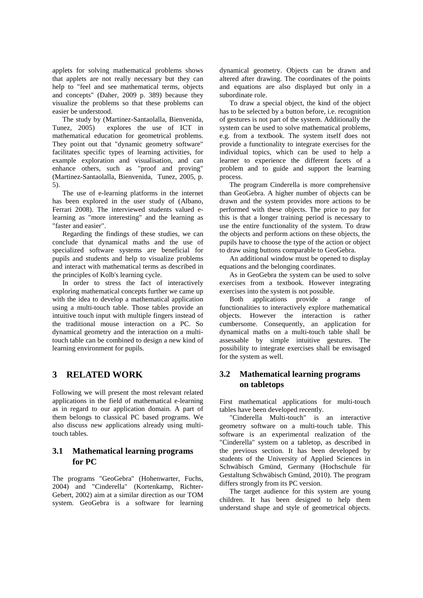applets for solving mathematical problems shows that applets are not really necessary but they can help to "feel and see mathematical terms, objects and concepts" (Daher, 2009 p. 389) because they visualize the problems so that these problems can easier be understood.

The study by (Martinez-Santaolalla, Bienvenida,<br>Tunez, 2005) explores the use of ICT in explores the use of ICT in mathematical education for geometrical problems. They point out that "dynamic geometry software" facilitates specific types of learning activities, for example exploration and visualisation, and can enhance others, such as "proof and proving" (Martinez-Santaolalla, Bienvenida, Tunez, 2005, p. 5).

The use of e-learning platforms in the internet has been explored in the user study of (Albano, Ferrari 2008). The interviewed students valued elearning as "more interesting" and the learning as "faster and easier".

Regarding the findings of these studies, we can conclude that dynamical maths and the use of specialized software systems are beneficial for pupils and students and help to visualize problems and interact with mathematical terms as described in the principles of Kolb's learning cycle.

In order to stress the fact of interactively exploring mathematical concepts further we came up with the idea to develop a mathematical application using a multi-touch table. Those tables provide an intuitive touch input with multiple fingers instead of the traditional mouse interaction on a PC. So dynamical geometry and the interaction on a multitouch table can be combined to design a new kind of learning environment for pupils.

# **3 RELATED WORK**

Following we will present the most relevant related applications in the field of mathematical e-learning as in regard to our application domain. A part of them belongs to classical PC based programs. We also discuss new applications already using multitouch tables.

# **3.1 Mathematical learning programs for PC**

The programs "GeoGebra" (Hohenwarter, Fuchs, 2004) and "Cinderella" (Kortenkamp, Richter-Gebert, 2002) aim at a similar direction as our TOM system. GeoGebra is a software for learning dynamical geometry. Objects can be drawn and altered after drawing. The coordinates of the points and equations are also displayed but only in a subordinate role.

To draw a special object, the kind of the object has to be selected by a button before, i.e. recognition of gestures is not part of the system. Additionally the system can be used to solve mathematical problems, e.g. from a textbook. The system itself does not provide a functionality to integrate exercises for the individual topics, which can be used to help a learner to experience the different facets of a problem and to guide and support the learning process.

The program Cinderella is more comprehensive than GeoGebra. A higher number of objects can be drawn and the system provides more actions to be performed with these objects. The price to pay for this is that a longer training period is necessary to use the entire functionality of the system. To draw the objects and perform actions on these objects, the pupils have to choose the type of the action or object to draw using buttons comparable to GeoGebra.

An additional window must be opened to display equations and the belonging coordinates.

As in GeoGebra the system can be used to solve exercises from a textbook. However integrating exercises into the system is not possible.

Both applications provide a range of functionalities to interactively explore mathematical objects. However the interaction is rather cumbersome. Consequently, an application for dynamical maths on a multi-touch table shall be assessable by simple intuitive gestures. The possibility to integrate exercises shall be envisaged for the system as well.

# **3.2 Mathematical learning programs on tabletops**

First mathematical applications for multi-touch tables have been developed recently.

"Cinderella Multi-touch" is an interactive geometry software on a multi-touch table. This software is an experimental realization of the "Cinderella" system on a tabletop, as described in the previous section. It has been developed by students of the University of Applied Sciences in Schwäbisch Gmünd, Germany (Hochschule für Gestaltung Schwäbisch Gmünd, 2010). The program differs strongly from its PC version.

The target audience for this system are young children. It has been designed to help them understand shape and style of geometrical objects.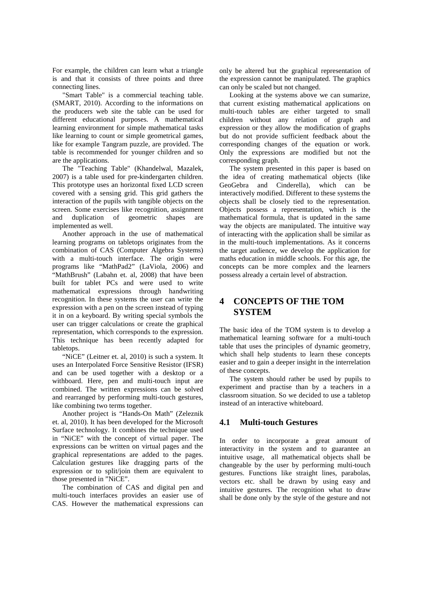For example, the children can learn what a triangle is and that it consists of three points and three connecting lines.

"Smart Table" is a commercial teaching table. (SMART, 2010). According to the informations on the producers web site the table can be used for different educational purposes. A mathematical learning environment for simple mathematical tasks like learning to count or simple geometrical games, like for example Tangram puzzle, are provided. The table is recommended for younger children and so are the applications.

The "Teaching Table" (Khandelwal, Mazalek, 2007) is a table used for pre-kindergarten children. This prototype uses an horizontal fixed LCD screen covered with a sensing grid. This grid gathers the interaction of the pupils with tangible objects on the screen. Some exercises like recognition, assignment<br>and duplication of geometric shapes are and duplication of geometric shapes are implemented as well.

Another approach in the use of mathematical learning programs on tabletops originates from the combination of CAS (Computer Algebra Systems) with a multi-touch interface. The origin were programs like "MathPad2" (LaViola, 2006) and "MathBrush" (Labahn et. al, 2008) that have been built for tablet PCs and were used to write mathematical expressions through handwriting recognition. In these systems the user can write the expression with a pen on the screen instead of typing it in on a keyboard. By writing special symbols the user can trigger calculations or create the graphical representation, which corresponds to the expression. This technique has been recently adapted for tabletops.

"NiCE" (Leitner et. al, 2010) is such a system. It uses an Interpolated Force Sensitive Resistor (IFSR) and can be used together with a desktop or a withboard. Here, pen and multi-touch input are combined. The written expressions can be solved and rearranged by performing multi-touch gestures, like combining two terms together.

Another project is "Hands-On Math" (Zeleznik et. al, 2010). It has been developed for the Microsoft Surface technology. It combines the technique used in "NiCE" with the concept of virtual paper. The expressions can be written on virtual pages and the graphical representations are added to the pages. Calculation gestures like dragging parts of the expression or to split/join them are equivalent to those presented in "NiCE".

The combination of CAS and digital pen and multi-touch interfaces provides an easier use of CAS. However the mathematical expressions can

only be altered but the graphical representation of the expression cannot be manipulated. The graphics can only be scaled but not changed.

Looking at the systems above we can sumarize, that current existing mathematical applications on multi-touch tables are either targeted to small children without any relation of graph and expression or they allow the modification of graphs but do not provide sufficient feedback about the corresponding changes of the equation or work. Only the expressions are modified but not the corresponding graph.

The system presented in this paper is based on the idea of creating mathematical objects (like GeoGebra and Cinderella), which can be interactively modified. Different to these systems the objects shall be closely tied to the representation. Objects possess a representation, which is the mathematical formula, that is updated in the same way the objects are manipulated. The intuitive way of interacting with the application shall be similar as in the multi-touch implementations. As it concerns the target audience, we develop the application for maths education in middle schools. For this age, the concepts can be more complex and the learners possess already a certain level of abstraction.

# **4 CONCEPTS OF THE TOM SYSTEM**

The basic idea of the TOM system is to develop a mathematical learning software for a multi-touch table that uses the principles of dynamic geometry, which shall help students to learn these concepts easier and to gain a deeper insight in the interrelation of these concepts.

The system should rather be used by pupils to experiment and practise than by a teachers in a classroom situation. So we decided to use a tabletop instead of an interactive whiteboard.

## **4.1 Multi-touch Gestures**

In order to incorporate a great amount of interactivity in the system and to guarantee an intuitive usage, all mathematical objects shall be changeable by the user by performing multi-touch gestures. Functions like straight lines, parabolas, vectors etc. shall be drawn by using easy and intuitive gestures. The recognition what to draw shall be done only by the style of the gesture and not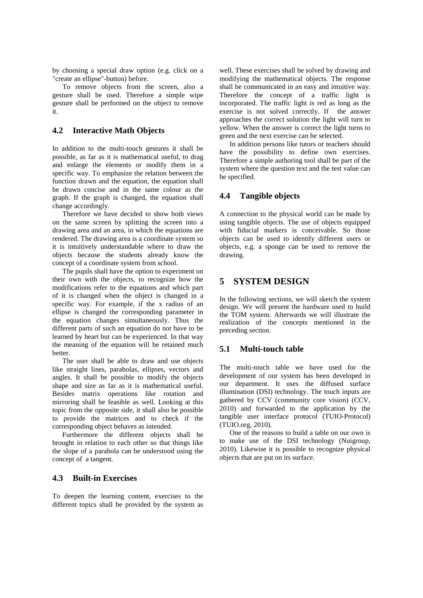by choosing a special draw option (e.g. click on a "create an ellipse"-button) before.

To remove objects from the screen, also a gesture shall be used. Therefore a simple wipe gesture shall be performed on the object to remove it.

## **4.2 Interactive Math Objects**

In addition to the multi-touch gestures it shall be possible, as far as it is mathematical useful, to drag and enlarge the elements or modify them in a specific way. To emphasize the relation between the function drawn and the equation, the equation shall be drawn concise and in the same colour as the graph. If the graph is changed, the equation shall change accordingly.

Therefore we have decided to show both views on the same screen by splitting the screen into a drawing area and an area, in which the equations are rendered. The drawing area is a coordinate system so it is intuitively understandable where to draw the objects because the students already know the concept of a coordinate system from school.

The pupils shall have the option to experiment on their own with the objects, to recognize how the modifications refer to the equations and which part of it is changed when the object is changed in a specific way. For example, if the x radius of an ellipse is changed the corresponding parameter in the equation changes simultaneously. Thus the different parts of such an equation do not have to be learned by heart but can be experienced. In that way the meaning of the equation will be retained much better.

The user shall be able to draw and use objects like straight lines, parabolas, ellipses, vectors and angles. It shall be possible to modify the objects shape and size as far as it is mathematical useful. Besides matrix operations like rotation and mirroring shall be feasible as well. Looking at this topic from the opposite side, it shall also be possible to provide the matrices and to check if the corresponding object behaves as intended.

Furthermore the different objects shall be brought in relation to each other so that things like the slope of a parabola can be understood using the concept of a tangent.

## **4.3 Built-in Exercises**

To deepen the learning content, exercises to the different topics shall be provided by the system as

well. These exercises shall be solved by drawing and modifying the mathematical objects. The response shall be communicated in an easy and intuitive way. Therefore the concept of a traffic light is incorporated. The traffic light is red as long as the exercise is not solved correctly. If the answer approaches the correct solution the light will turn to yellow. When the answer is correct the light turns to green and the next exercise can be selected.

In addition persons like tutors or teachers should have the possibility to define own exercises. Therefore a simple authoring tool shall be part of the system where the question text and the test value can be specified.

### **4.4 Tangible objects**

A connection to the physical world can be made by using tangible objects. The use of objects equipped with fiducial markers is conceivable. So those objects can be used to identify different users or objects, e.g. a sponge can be used to remove the drawing.

## **5 SYSTEM DESIGN**

In the following sections, we will sketch the system design. We will present the hardware used to build the TOM system. Afterwards we will illustrate the realization of the concepts mentioned in the preceding section.

## **5.1 Multi-touch table**

The multi-touch table we have used for the development of our system has been developed in our department. It uses the diffused surface illumination (DSI) technology. The touch inputs are gathered by CCV (community core vision) (CCV, 2010) and forwarded to the application by the tangible user interface protocol (TUIO-Protocol) (TUIO.org, 2010).

One of the reasons to build a table on our own is to make use of the DSI technology (Nuigroup, 2010). Likewise it is possible to recognize physical objects that are put on its surface.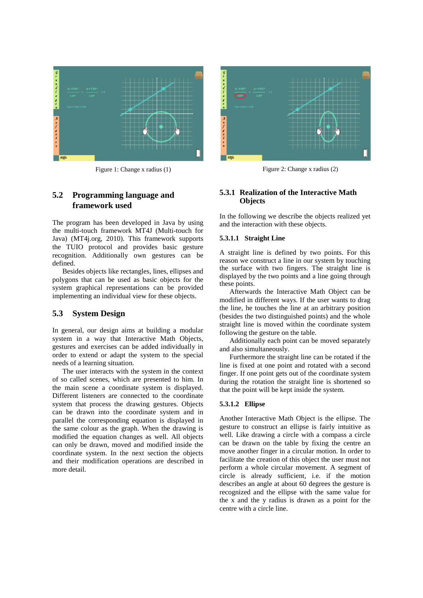

# **5.2 Programming language and framework used**

The program has been developed in Java by using the multi-touch framework MT4J (Multi-touch for Java) (MT4j.org, 2010). This framework supports the TUIO protocol and provides basic gesture recognition. Additionally own gestures can be defined.

Besides objects like rectangles, lines, ellipses and polygons that can be used as basic objects for the system graphical representations can be provided implementing an individual view for these objects.

### **5.3 System Design**

In general, our design aims at building a modular system in a way that Interactive Math Objects, gestures and exercises can be added individually in order to extend or adapt the system to the special needs of a learning situation.

The user interacts with the system in the context of so called scenes, which are presented to him. In the main scene a coordinate system is displayed. Different listeners are connected to the coordinate system that process the drawing gestures. Objects can be drawn into the coordinate system and in parallel the corresponding equation is displayed in the same colour as the graph. When the drawing is modified the equation changes as well. All objects can only be drawn, moved and modified inside the coordinate system. In the next section the objects and their modification operations are described in more detail.



Figure 1: Change x radius (1) Figure 2: Change x radius (2)

### **5.3.1 Realization of the Interactive Math Objects**

In the following we describe the objects realized yet and the interaction with these objects.

#### **5.3.1.1 Straight Line**

A straight line is defined by two points. For this reason we construct a line in our system by touching the surface with two fingers. The straight line is displayed by the two points and a line going through these points.

Afterwards the Interactive Math Object can be modified in different ways. If the user wants to drag the line, he touches the line at an arbitrary position (besides the two distinguished points) and the whole straight line is moved within the coordinate system following the gesture on the table.

Additionally each point can be moved separately and also simultaneously.

Furthermore the straight line can be rotated if the line is fixed at one point and rotated with a second finger. If one point gets out of the coordinate system during the rotation the straight line is shortened so that the point will be kept inside the system.

#### **5.3.1.2 Ellipse**

Another Interactive Math Object is the ellipse. The gesture to construct an ellipse is fairly intuitive as well. Like drawing a circle with a compass a circle can be drawn on the table by fixing the centre an move another finger in a circular motion. In order to facilitate the creation of this object the user must not perform a whole circular movement. A segment of circle is already sufficient, i.e. if the motion describes an angle at about 60 degrees the gesture is recognized and the ellipse with the same value for the x and the y radius is drawn as a point for the centre with a circle line.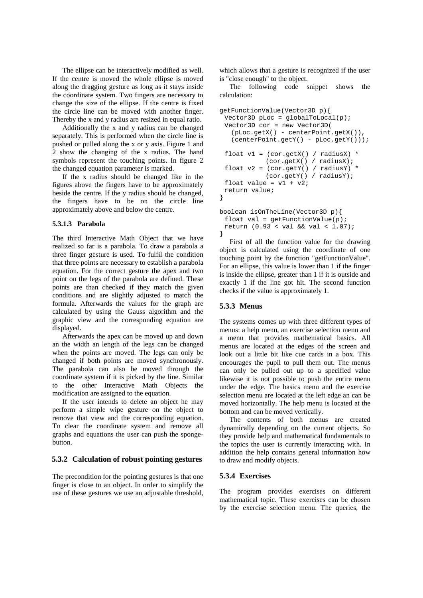The ellipse can be interactively modified as well. If the centre is moved the whole ellipse is moved along the dragging gesture as long as it stays inside the coordinate system. Two fingers are necessary to change the size of the ellipse. If the centre is fixed the circle line can be moved with another finger. Thereby the x and y radius are resized in equal ratio.

Additionally the x and y radius can be changed separately. This is performed when the circle line is pushed or pulled along the x or y axis. Figure 1 and 2 show the changing of the x radius. The hand symbols represent the touching points. In figure 2 the changed equation parameter is marked.

If the x radius should be changed like in the figures above the fingers have to be approximately beside the centre. If the y radius should be changed, the fingers have to be on the circle line approximately above and below the centre.

#### **5.3.1.3 Parabola**

The third Interactive Math Object that we have realized so far is a parabola. To draw a parabola a three finger gesture is used. To fulfil the condition that three points are necessary to establish a parabola equation. For the correct gesture the apex and two point on the legs of the parabola are defined. These points are than checked if they match the given conditions and are slightly adjusted to match the formula. Afterwards the values for the graph are calculated by using the Gauss algorithm and the graphic view and the corresponding equation are displayed.

Afterwards the apex can be moved up and down an the width an length of the legs can be changed when the points are moved. The legs can only be changed if both points are moved synchronously. The parabola can also be moved through the coordinate system if it is picked by the line. Similar to the other Interactive Math Objects the modification are assigned to the equation.

If the user intends to delete an object he may perform a simple wipe gesture on the object to remove that view and the corresponding equation. To clear the coordinate system and remove all graphs and equations the user can push the spongebutton.

## **5.3.2 Calculation of robust pointing gestures**

The precondition for the pointing gestures is that one finger is close to an object. In order to simplify the use of these gestures we use an adjustable threshold,

which allows that a gesture is recognized if the user is "close enough" to the object.

The following code snippet shows the calculation:

```
getFunctionValue(Vector3D p){
 Vector3D pLoc = globalToLocal(p);
 Vector3D cor = new Vector3D(
    (pLoc.getX() - centerPoint.getX()),
   (centerPoint.getY() - pLoc.getY());
 float v1 = (cor.getX() / radiusX) * (cor.getX() / radiusX);
 float v2 = (cor.getY() / radiusY) * (cor.getY() / radiusY);
 float value = v1 + v2;
 return value;
}
boolean isOnTheLine(Vector3D p){
```

```
float val = qetFunctionValue(p);
 return (0.93 < val && val < 1.07);
}
```
First of all the function value for the drawing object is calculated using the coordinate of one touching point by the function "getFunctionValue". For an ellipse, this value is lower than 1 if the finger is inside the ellipse, greater than 1 if it is outside and exactly 1 if the line got hit. The second function checks if the value is approximately 1.

### **5.3.3 Menus**

The systems comes up with three different types of menus: a help menu, an exercise selection menu and a menu that provides mathematical basics. All menus are located at the edges of the screen and look out a little bit like cue cards in a box. This encourages the pupil to pull them out. The menus can only be pulled out up to a specified value likewise it is not possible to push the entire menu under the edge. The basics menu and the exercise selection menu are located at the left edge an can be moved horizontally. The help menu is located at the bottom and can be moved vertically.

The contents of both menus are created dynamically depending on the current objects. So they provide help and mathematical fundamentals to the topics the user is currently interacting with. In addition the help contains general information how to draw and modify objects.

### **5.3.4 Exercises**

The program provides exercises on different mathematical topic. These exercises can be chosen by the exercise selection menu. The queries, the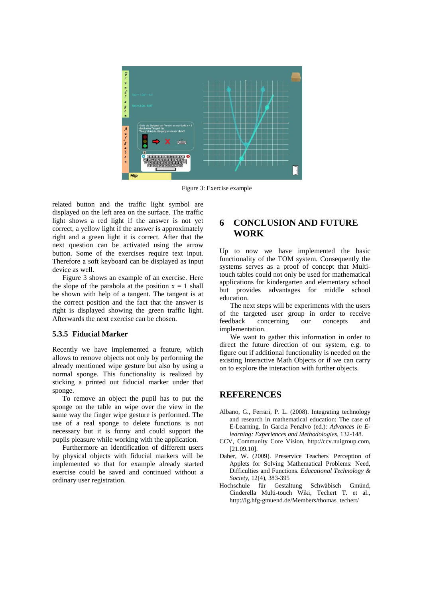

Figure 3: Exercise example

related button and the traffic light symbol are displayed on the left area on the surface. The traffic light shows a red light if the answer is not yet correct, a yellow light if the answer is approximately right and a green light it is correct. After that the next question can be activated using the arrow button. Some of the exercises require text input. Therefore a soft keyboard can be displayed as input device as well.

Figure 3 shows an example of an exercise. Here the slope of the parabola at the position  $x = 1$  shall be shown with help of a tangent. The tangent is at the correct position and the fact that the answer is right is displayed showing the green traffic light. Afterwards the next exercise can be chosen.

### **5.3.5 Fiducial Marker**

Recently we have implemented a feature, which allows to remove objects not only by performing the already mentioned wipe gesture but also by using a normal sponge. This functionality is realized by sticking a printed out fiducial marker under that sponge.

To remove an object the pupil has to put the sponge on the table an wipe over the view in the same way the finger wipe gesture is performed. The use of a real sponge to delete functions is not necessary but it is funny and could support the pupils pleasure while working with the application.

Furthermore an identification of different users by physical objects with fiducial markers will be implemented so that for example already started exercise could be saved and continued without a ordinary user registration.

# **6 CONCLUSION AND FUTURE WORK**

Up to now we have implemented the basic functionality of the TOM system. Consequently the systems serves as a proof of concept that Multitouch tables could not only be used for mathematical applications for kindergarten and elementary school but provides advantages for middle school education.

The next steps will be experiments with the users of the targeted user group in order to receive concerning our concepts and implementation.

We want to gather this information in order to direct the future direction of our system, e.g. to figure out if additional functionality is needed on the existing Interactive Math Objects or if we can carry on to explore the interaction with further objects.

### **REFERENCES**

- Albano, G., Ferrari, P. L. (2008). Integrating technology and research in mathematical education: The case of E-Learning. In Garcia Penalvo (ed.): *Advances in Elearning: Experiences and Methodologies*, 132-148.
- CCV, Community Core Vision, http://ccv.nuigroup.com, [21.09.10].
- Daher, W. (2009). Preservice Teachers' Perception of Applets for Solving Mathematical Problems: Need, Difficulties and Functions. *Educational Technology & Society*, 12(4), 383-395
- Hochschule für Gestaltung Schwäbisch Gmünd, Cinderella Multi-touch Wiki, Techert T. et al., http://ig.hfg-gmuend.de/Members/thomas\_techert/